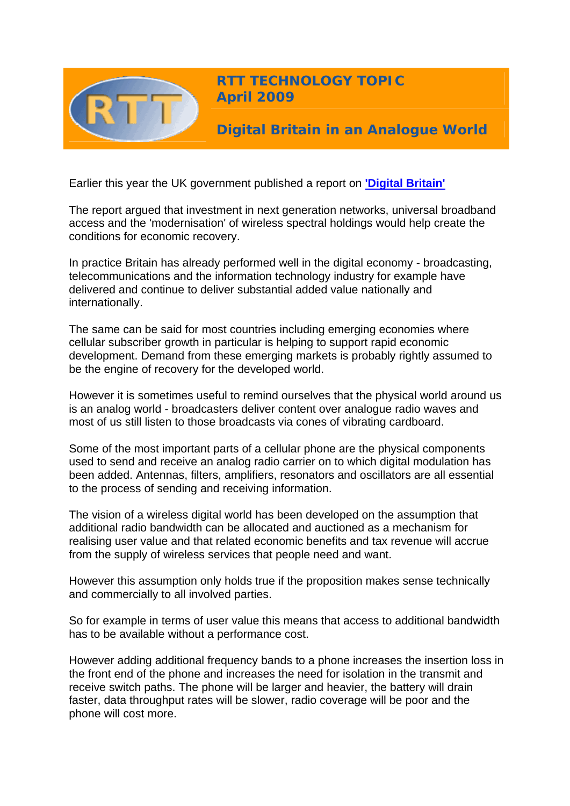

Earlier this year the UK government published a report on **['Digital Britain'](http://www.culture.gov.uk/what_we_do/broadcasting/5631.aspx)**

The report argued that investment in next generation networks, universal broadband access and the 'modernisation' of wireless spectral holdings would help create the conditions for economic recovery.

In practice Britain has already performed well in the digital economy - broadcasting, telecommunications and the information technology industry for example have delivered and continue to deliver substantial added value nationally and internationally.

The same can be said for most countries including emerging economies where cellular subscriber growth in particular is helping to support rapid economic development. Demand from these emerging markets is probably rightly assumed to be the engine of recovery for the developed world.

However it is sometimes useful to remind ourselves that the physical world around us is an analog world - broadcasters deliver content over analogue radio waves and most of us still listen to those broadcasts via cones of vibrating cardboard.

Some of the most important parts of a cellular phone are the physical components used to send and receive an analog radio carrier on to which digital modulation has been added. Antennas, filters, amplifiers, resonators and oscillators are all essential to the process of sending and receiving information.

The vision of a wireless digital world has been developed on the assumption that additional radio bandwidth can be allocated and auctioned as a mechanism for realising user value and that related economic benefits and tax revenue will accrue from the supply of wireless services that people need and want.

However this assumption only holds true if the proposition makes sense technically and commercially to all involved parties.

So for example in terms of user value this means that access to additional bandwidth has to be available without a performance cost.

However adding additional frequency bands to a phone increases the insertion loss in the front end of the phone and increases the need for isolation in the transmit and receive switch paths. The phone will be larger and heavier, the battery will drain faster, data throughput rates will be slower, radio coverage will be poor and the phone will cost more.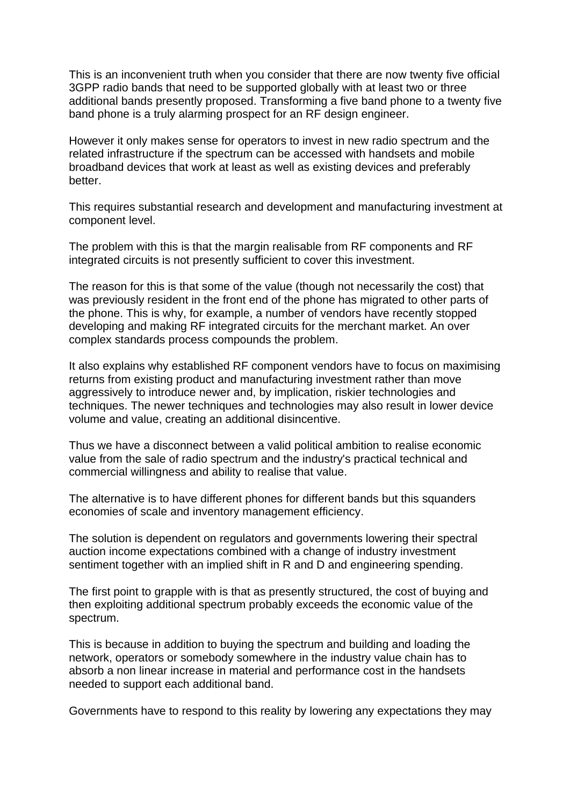This is an inconvenient truth when you consider that there are now twenty five official 3GPP radio bands that need to be supported globally with at least two or three additional bands presently proposed. Transforming a five band phone to a twenty five band phone is a truly alarming prospect for an RF design engineer.

However it only makes sense for operators to invest in new radio spectrum and the related infrastructure if the spectrum can be accessed with handsets and mobile broadband devices that work at least as well as existing devices and preferably better.

This requires substantial research and development and manufacturing investment at component level.

The problem with this is that the margin realisable from RF components and RF integrated circuits is not presently sufficient to cover this investment.

The reason for this is that some of the value (though not necessarily the cost) that was previously resident in the front end of the phone has migrated to other parts of the phone. This is why, for example, a number of vendors have recently stopped developing and making RF integrated circuits for the merchant market. An over complex standards process compounds the problem.

It also explains why established RF component vendors have to focus on maximising returns from existing product and manufacturing investment rather than move aggressively to introduce newer and, by implication, riskier technologies and techniques. The newer techniques and technologies may also result in lower device volume and value, creating an additional disincentive.

Thus we have a disconnect between a valid political ambition to realise economic value from the sale of radio spectrum and the industry's practical technical and commercial willingness and ability to realise that value.

The alternative is to have different phones for different bands but this squanders economies of scale and inventory management efficiency.

The solution is dependent on regulators and governments lowering their spectral auction income expectations combined with a change of industry investment sentiment together with an implied shift in R and D and engineering spending.

The first point to grapple with is that as presently structured, the cost of buying and then exploiting additional spectrum probably exceeds the economic value of the spectrum.

This is because in addition to buying the spectrum and building and loading the network, operators or somebody somewhere in the industry value chain has to absorb a non linear increase in material and performance cost in the handsets needed to support each additional band.

Governments have to respond to this reality by lowering any expectations they may